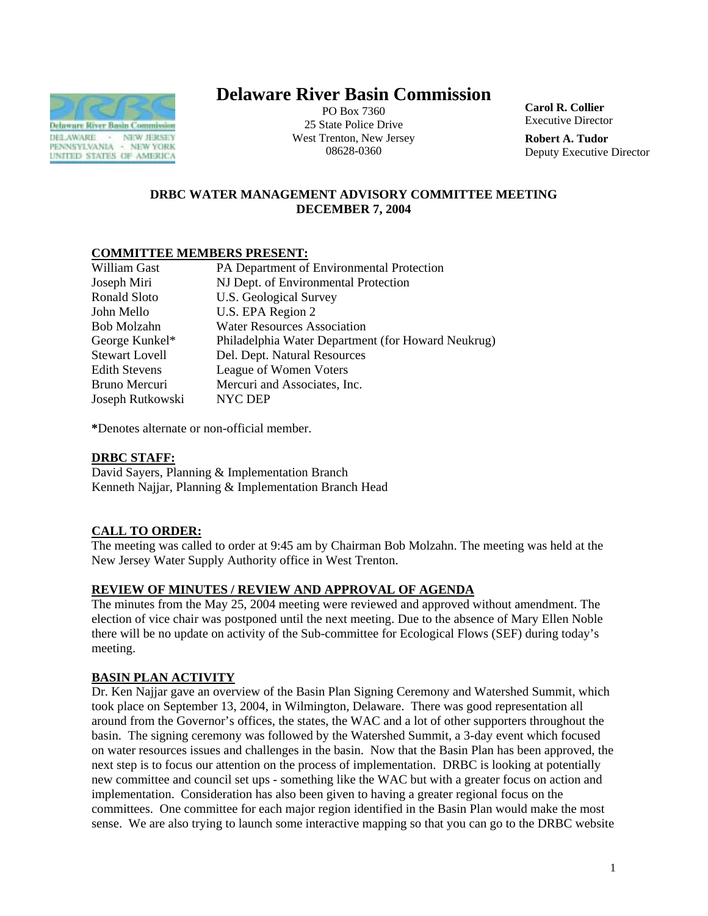

# **Delaware River Basin Commission**

PO Box 7360 25 State Police Drive West Trenton, New Jersey 08628-0360

**Carol R. Collier** Executive Director

**Robert A. Tudor**  Deputy Executive Director

# **DRBC WATER MANAGEMENT ADVISORY COMMITTEE MEETING DECEMBER 7, 2004**

# **COMMITTEE MEMBERS PRESENT:**

| William Gast          | PA Department of Environmental Protection          |
|-----------------------|----------------------------------------------------|
| Joseph Miri           | NJ Dept. of Environmental Protection               |
| Ronald Sloto          | <b>U.S. Geological Survey</b>                      |
| John Mello            | U.S. EPA Region 2                                  |
| Bob Molzahn           | <b>Water Resources Association</b>                 |
| George Kunkel*        | Philadelphia Water Department (for Howard Neukrug) |
| <b>Stewart Lovell</b> | Del. Dept. Natural Resources                       |
| <b>Edith Stevens</b>  | League of Women Voters                             |
| Bruno Mercuri         | Mercuri and Associates, Inc.                       |
| Joseph Rutkowski      | NYC DEP                                            |

**\***Denotes alternate or non-official member.

# **DRBC STAFF:**

David Sayers, Planning & Implementation Branch Kenneth Najjar, Planning & Implementation Branch Head

# **CALL TO ORDER:**

The meeting was called to order at 9:45 am by Chairman Bob Molzahn. The meeting was held at the New Jersey Water Supply Authority office in West Trenton.

# **REVIEW OF MINUTES / REVIEW AND APPROVAL OF AGENDA**

The minutes from the May 25, 2004 meeting were reviewed and approved without amendment. The election of vice chair was postponed until the next meeting. Due to the absence of Mary Ellen Noble there will be no update on activity of the Sub-committee for Ecological Flows (SEF) during today's meeting.

# **BASIN PLAN ACTIVITY**

Dr. Ken Najjar gave an overview of the Basin Plan Signing Ceremony and Watershed Summit, which took place on September 13, 2004, in Wilmington, Delaware. There was good representation all around from the Governor's offices, the states, the WAC and a lot of other supporters throughout the basin. The signing ceremony was followed by the Watershed Summit, a 3-day event which focused on water resources issues and challenges in the basin. Now that the Basin Plan has been approved, the next step is to focus our attention on the process of implementation. DRBC is looking at potentially new committee and council set ups - something like the WAC but with a greater focus on action and implementation. Consideration has also been given to having a greater regional focus on the committees. One committee for each major region identified in the Basin Plan would make the most sense. We are also trying to launch some interactive mapping so that you can go to the DRBC website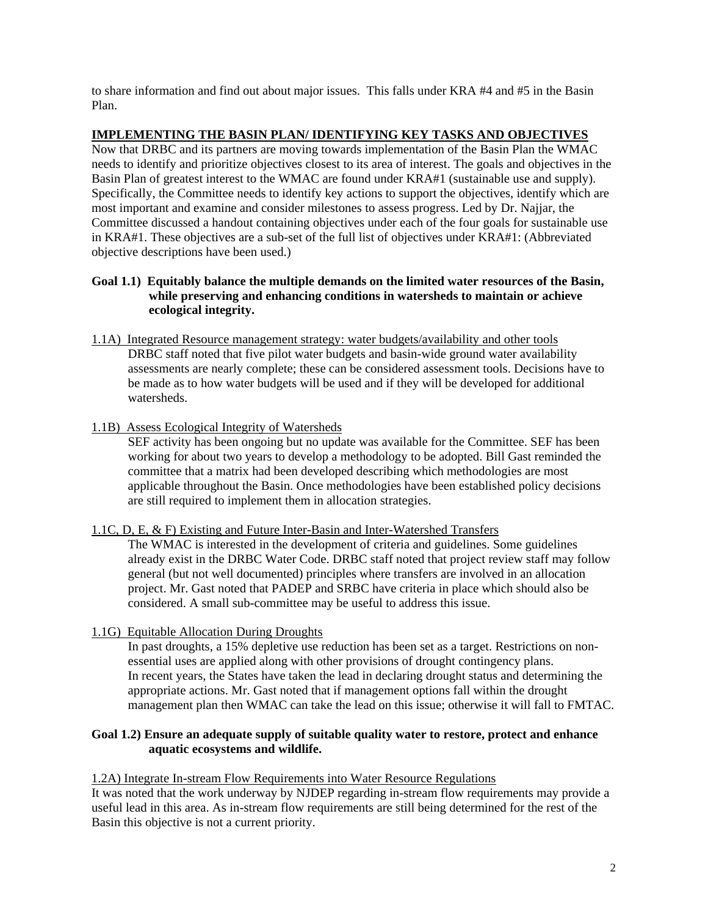to share information and find out about major issues. This falls under KRA #4 and #5 in the Basin Plan.

# **IMPLEMENTING THE BASIN PLAN/ IDENTIFYING KEY TASKS AND OBJECTIVES**

Now that DRBC and its partners are moving towards implementation of the Basin Plan the WMAC needs to identify and prioritize objectives closest to its area of interest. The goals and objectives in the Basin Plan of greatest interest to the WMAC are found under KRA#1 (sustainable use and supply). Specifically, the Committee needs to identify key actions to support the objectives, identify which are most important and examine and consider milestones to assess progress. Led by Dr. Najjar, the Committee discussed a handout containing objectives under each of the four goals for sustainable use in KRA#1. These objectives are a sub-set of the full list of objectives under KRA#1: (Abbreviated objective descriptions have been used.)

# **Goal 1.1) Equitably balance the multiple demands on the limited water resources of the Basin, while preserving and enhancing conditions in watersheds to maintain or achieve ecological integrity.**

1.1A) Integrated Resource management strategy: water budgets/availability and other tools DRBC staff noted that five pilot water budgets and basin-wide ground water availability assessments are nearly complete; these can be considered assessment tools. Decisions have to be made as to how water budgets will be used and if they will be developed for additional watersheds.

### 1.1B) Assess Ecological Integrity of Watersheds

SEF activity has been ongoing but no update was available for the Committee. SEF has been working for about two years to develop a methodology to be adopted. Bill Gast reminded the committee that a matrix had been developed describing which methodologies are most applicable throughout the Basin. Once methodologies have been established policy decisions are still required to implement them in allocation strategies.

### 1.1C, D, E, & F) Existing and Future Inter-Basin and Inter-Watershed Transfers

The WMAC is interested in the development of criteria and guidelines. Some guidelines already exist in the DRBC Water Code. DRBC staff noted that project review staff may follow general (but not well documented) principles where transfers are involved in an allocation project. Mr. Gast noted that PADEP and SRBC have criteria in place which should also be considered. A small sub-committee may be useful to address this issue.

# 1.1G) Equitable Allocation During Droughts

In past droughts, a 15% depletive use reduction has been set as a target. Restrictions on nonessential uses are applied along with other provisions of drought contingency plans. In recent years, the States have taken the lead in declaring drought status and determining the appropriate actions. Mr. Gast noted that if management options fall within the drought management plan then WMAC can take the lead on this issue; otherwise it will fall to FMTAC.

# **Goal 1.2) Ensure an adequate supply of suitable quality water to restore, protect and enhance aquatic ecosystems and wildlife.**

1.2A) Integrate In-stream Flow Requirements into Water Resource Regulations

It was noted that the work underway by NJDEP regarding in-stream flow requirements may provide a useful lead in this area. As in-stream flow requirements are still being determined for the rest of the Basin this objective is not a current priority.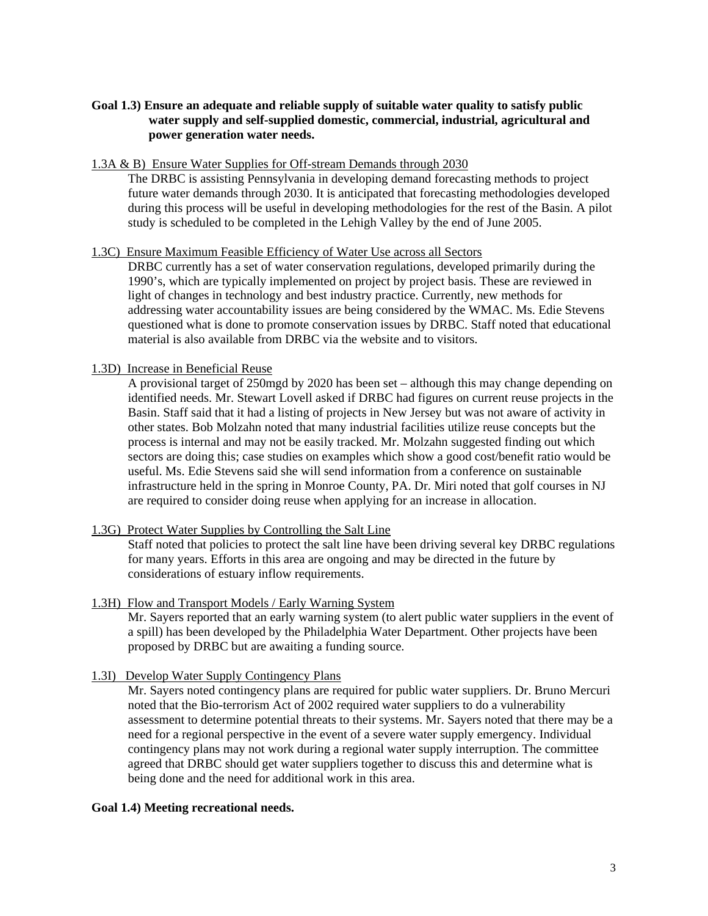# **Goal 1.3) Ensure an adequate and reliable supply of suitable water quality to satisfy public water supply and self-supplied domestic, commercial, industrial, agricultural and power generation water needs.**

#### 1.3A & B) Ensure Water Supplies for Off-stream Demands through 2030

The DRBC is assisting Pennsylvania in developing demand forecasting methods to project future water demands through 2030. It is anticipated that forecasting methodologies developed during this process will be useful in developing methodologies for the rest of the Basin. A pilot study is scheduled to be completed in the Lehigh Valley by the end of June 2005.

# 1.3C) Ensure Maximum Feasible Efficiency of Water Use across all Sectors

DRBC currently has a set of water conservation regulations, developed primarily during the 1990's, which are typically implemented on project by project basis. These are reviewed in light of changes in technology and best industry practice. Currently, new methods for addressing water accountability issues are being considered by the WMAC. Ms. Edie Stevens questioned what is done to promote conservation issues by DRBC. Staff noted that educational material is also available from DRBC via the website and to visitors.

### 1.3D) Increase in Beneficial Reuse

A provisional target of 250mgd by 2020 has been set – although this may change depending on identified needs. Mr. Stewart Lovell asked if DRBC had figures on current reuse projects in the Basin. Staff said that it had a listing of projects in New Jersey but was not aware of activity in other states. Bob Molzahn noted that many industrial facilities utilize reuse concepts but the process is internal and may not be easily tracked. Mr. Molzahn suggested finding out which sectors are doing this; case studies on examples which show a good cost/benefit ratio would be useful. Ms. Edie Stevens said she will send information from a conference on sustainable infrastructure held in the spring in Monroe County, PA. Dr. Miri noted that golf courses in NJ are required to consider doing reuse when applying for an increase in allocation.

### 1.3G) Protect Water Supplies by Controlling the Salt Line

Staff noted that policies to protect the salt line have been driving several key DRBC regulations for many years. Efforts in this area are ongoing and may be directed in the future by considerations of estuary inflow requirements.

### 1.3H) Flow and Transport Models / Early Warning System

Mr. Sayers reported that an early warning system (to alert public water suppliers in the event of a spill) has been developed by the Philadelphia Water Department. Other projects have been proposed by DRBC but are awaiting a funding source.

# 1.3I) Develop Water Supply Contingency Plans

Mr. Sayers noted contingency plans are required for public water suppliers. Dr. Bruno Mercuri noted that the Bio-terrorism Act of 2002 required water suppliers to do a vulnerability assessment to determine potential threats to their systems. Mr. Sayers noted that there may be a need for a regional perspective in the event of a severe water supply emergency. Individual contingency plans may not work during a regional water supply interruption. The committee agreed that DRBC should get water suppliers together to discuss this and determine what is being done and the need for additional work in this area.

### **Goal 1.4) Meeting recreational needs.**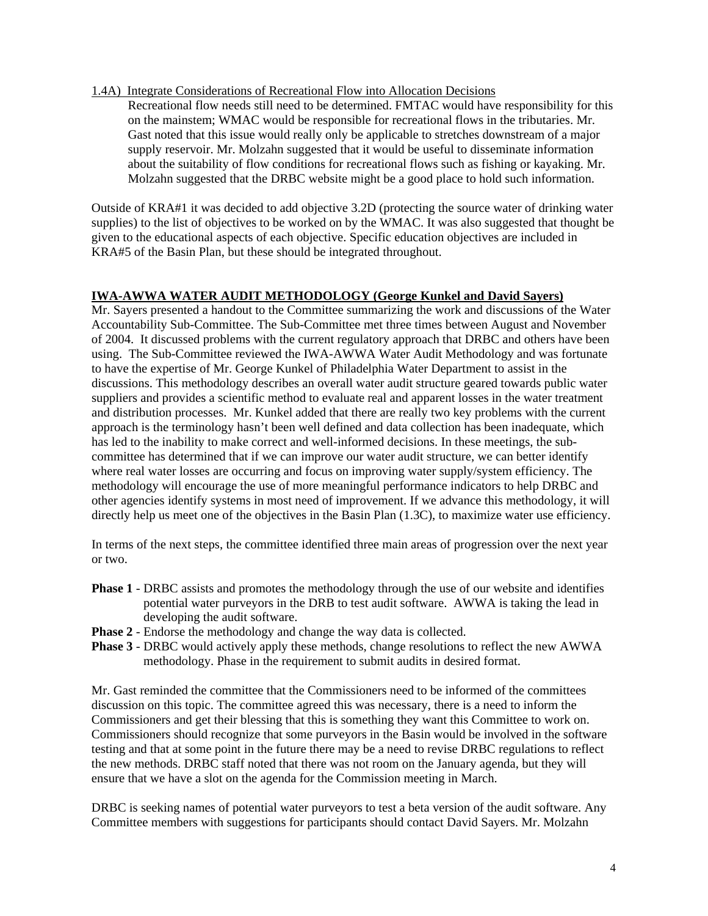#### 1.4A) Integrate Considerations of Recreational Flow into Allocation Decisions

Recreational flow needs still need to be determined. FMTAC would have responsibility for this on the mainstem; WMAC would be responsible for recreational flows in the tributaries. Mr. Gast noted that this issue would really only be applicable to stretches downstream of a major supply reservoir. Mr. Molzahn suggested that it would be useful to disseminate information about the suitability of flow conditions for recreational flows such as fishing or kayaking. Mr. Molzahn suggested that the DRBC website might be a good place to hold such information.

Outside of KRA#1 it was decided to add objective 3.2D (protecting the source water of drinking water supplies) to the list of objectives to be worked on by the WMAC. It was also suggested that thought be given to the educational aspects of each objective. Specific education objectives are included in KRA#5 of the Basin Plan, but these should be integrated throughout.

### **IWA-AWWA WATER AUDIT METHODOLOGY (George Kunkel and David Sayers)**

Mr. Sayers presented a handout to the Committee summarizing the work and discussions of the Water Accountability Sub-Committee. The Sub-Committee met three times between August and November of 2004. It discussed problems with the current regulatory approach that DRBC and others have been using. The Sub-Committee reviewed the IWA-AWWA Water Audit Methodology and was fortunate to have the expertise of Mr. George Kunkel of Philadelphia Water Department to assist in the discussions. This methodology describes an overall water audit structure geared towards public water suppliers and provides a scientific method to evaluate real and apparent losses in the water treatment and distribution processes. Mr. Kunkel added that there are really two key problems with the current approach is the terminology hasn't been well defined and data collection has been inadequate, which has led to the inability to make correct and well-informed decisions. In these meetings, the subcommittee has determined that if we can improve our water audit structure, we can better identify where real water losses are occurring and focus on improving water supply/system efficiency. The methodology will encourage the use of more meaningful performance indicators to help DRBC and other agencies identify systems in most need of improvement. If we advance this methodology, it will directly help us meet one of the objectives in the Basin Plan  $(1.3C)$ , to maximize water use efficiency.

In terms of the next steps, the committee identified three main areas of progression over the next year or two.

- **Phase 1** DRBC assists and promotes the methodology through the use of our website and identifies potential water purveyors in the DRB to test audit software. AWWA is taking the lead in developing the audit software.
- **Phase 2** Endorse the methodology and change the way data is collected.
- **Phase 3** DRBC would actively apply these methods, change resolutions to reflect the new AWWA methodology. Phase in the requirement to submit audits in desired format.

Mr. Gast reminded the committee that the Commissioners need to be informed of the committees discussion on this topic. The committee agreed this was necessary, there is a need to inform the Commissioners and get their blessing that this is something they want this Committee to work on. Commissioners should recognize that some purveyors in the Basin would be involved in the software testing and that at some point in the future there may be a need to revise DRBC regulations to reflect the new methods. DRBC staff noted that there was not room on the January agenda, but they will ensure that we have a slot on the agenda for the Commission meeting in March.

DRBC is seeking names of potential water purveyors to test a beta version of the audit software. Any Committee members with suggestions for participants should contact David Sayers. Mr. Molzahn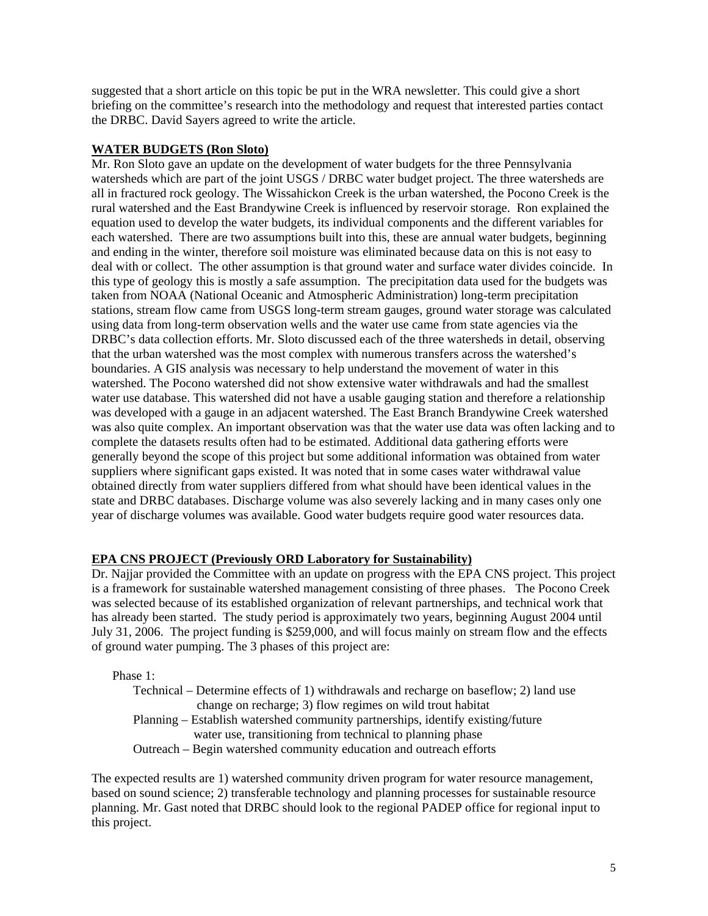suggested that a short article on this topic be put in the WRA newsletter. This could give a short briefing on the committee's research into the methodology and request that interested parties contact the DRBC. David Sayers agreed to write the article.

### **WATER BUDGETS (Ron Sloto)**

Mr. Ron Sloto gave an update on the development of water budgets for the three Pennsylvania watersheds which are part of the joint USGS / DRBC water budget project. The three watersheds are all in fractured rock geology. The Wissahickon Creek is the urban watershed, the Pocono Creek is the rural watershed and the East Brandywine Creek is influenced by reservoir storage. Ron explained the equation used to develop the water budgets, its individual components and the different variables for each watershed. There are two assumptions built into this, these are annual water budgets, beginning and ending in the winter, therefore soil moisture was eliminated because data on this is not easy to deal with or collect. The other assumption is that ground water and surface water divides coincide. In this type of geology this is mostly a safe assumption. The precipitation data used for the budgets was taken from NOAA (National Oceanic and Atmospheric Administration) long-term precipitation stations, stream flow came from USGS long-term stream gauges, ground water storage was calculated using data from long-term observation wells and the water use came from state agencies via the DRBC's data collection efforts. Mr. Sloto discussed each of the three watersheds in detail, observing that the urban watershed was the most complex with numerous transfers across the watershed's boundaries. A GIS analysis was necessary to help understand the movement of water in this watershed. The Pocono watershed did not show extensive water withdrawals and had the smallest water use database. This watershed did not have a usable gauging station and therefore a relationship was developed with a gauge in an adjacent watershed. The East Branch Brandywine Creek watershed was also quite complex. An important observation was that the water use data was often lacking and to complete the datasets results often had to be estimated. Additional data gathering efforts were generally beyond the scope of this project but some additional information was obtained from water suppliers where significant gaps existed. It was noted that in some cases water withdrawal value obtained directly from water suppliers differed from what should have been identical values in the state and DRBC databases. Discharge volume was also severely lacking and in many cases only one year of discharge volumes was available. Good water budgets require good water resources data.

### **EPA CNS PROJECT (Previously ORD Laboratory for Sustainability)**

Dr. Najjar provided the Committee with an update on progress with the EPA CNS project. This project is a framework for sustainable watershed management consisting of three phases. The Pocono Creek was selected because of its established organization of relevant partnerships, and technical work that has already been started. The study period is approximately two years, beginning August 2004 until July 31, 2006. The project funding is \$259,000, and will focus mainly on stream flow and the effects of ground water pumping. The 3 phases of this project are:

Phase 1:

Technical – Determine effects of 1) withdrawals and recharge on baseflow; 2) land use change on recharge; 3) flow regimes on wild trout habitat Planning – Establish watershed community partnerships, identify existing/future water use, transitioning from technical to planning phase Outreach – Begin watershed community education and outreach efforts

The expected results are 1) watershed community driven program for water resource management, based on sound science; 2) transferable technology and planning processes for sustainable resource planning. Mr. Gast noted that DRBC should look to the regional PADEP office for regional input to this project.